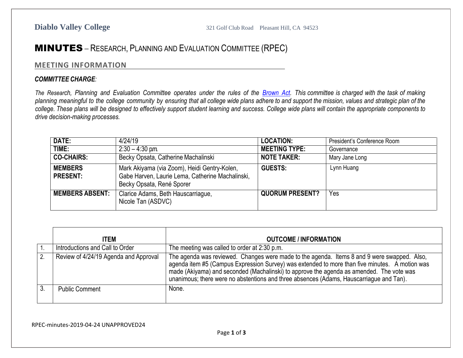## MINUTES – RESEARCH, PLANNING AND EVALUATION COMMITTEE (RPEC)

## **MEETING INFORMATION**

## *COMMITTEE CHARGE:*

The Research, Planning and Evaluation Committee operates under the rules of the [Brown](http://ag.ca.gov/publications/2003_Intro_BrownAct.pdf) Act. This committee is charged with the task of making planning meaningful to the college community by ensuring that all college wide plans adhere to and support the mission, values and strategic plan of the college. These plans will be designed to effectively support student learning and success. College wide plans will contain the appropriate components to *drive decision-making processes.*

| DATE:                             | 4/24/19                                                                                                                       | <b>LOCATION:</b>       | President's Conference Room |
|-----------------------------------|-------------------------------------------------------------------------------------------------------------------------------|------------------------|-----------------------------|
| TIME:                             | $2:30 - 4:30$ pm                                                                                                              | <b>MEETING TYPE:</b>   | Governance                  |
| <b>CO-CHAIRS:</b>                 | Becky Opsata, Catherine Machalinski                                                                                           | <b>NOTE TAKER:</b>     | Mary Jane Long              |
| <b>MEMBERS</b><br><b>PRESENT:</b> | Mark Akiyama (via Zoom), Heidi Gentry-Kolen,<br>Gabe Harven, Laurie Lema, Catherine Machalinski,<br>Becky Opsata, René Sporer | <b>GUESTS:</b>         | Lynn Huang                  |
| <b>MEMBERS ABSENT:</b>            | Clarice Adams, Beth Hauscarriague,<br>Nicole Tan (ASDVC)                                                                      | <b>QUORUM PRESENT?</b> | Yes                         |

|    | <b>ITEM</b>                           | <b>OUTCOME / INFORMATION</b>                                                                                                                                                                                                                                                                                                                                                         |
|----|---------------------------------------|--------------------------------------------------------------------------------------------------------------------------------------------------------------------------------------------------------------------------------------------------------------------------------------------------------------------------------------------------------------------------------------|
|    | Introductions and Call to Order       | The meeting was called to order at 2:30 p.m.                                                                                                                                                                                                                                                                                                                                         |
| 2. | Review of 4/24/19 Agenda and Approval | The agenda was reviewed. Changes were made to the agenda. Items 8 and 9 were swapped. Also,<br>agenda item #5 (Campus Expression Survey) was extended to more than five minutes. A motion was<br>made (Akiyama) and seconded (Machalinski) to approve the agenda as amended. The vote was<br>unanimous; there were no abstentions and three absences (Adams, Hauscarriague and Tan). |
|    | <b>Public Comment</b>                 | None.                                                                                                                                                                                                                                                                                                                                                                                |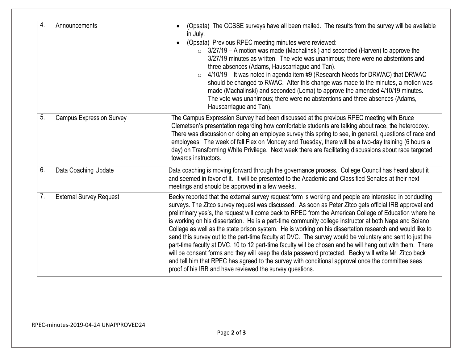| 4.             | Announcements                   | (Opsata) The CCSSE surveys have all been mailed. The results from the survey will be available<br>in July.<br>(Opsata) Previous RPEC meeting minutes were reviewed:<br>$\bullet$<br>$\circ$ 3/27/19 – A motion was made (Machalinski) and seconded (Harven) to approve the<br>3/27/19 minutes as written. The vote was unanimous; there were no abstentions and<br>three absences (Adams, Hauscarriague and Tan).<br>4/10/19 – It was noted in agenda item #9 (Research Needs for DRWAC) that DRWAC<br>should be changed to RWAC. After this change was made to the minutes, a motion was<br>made (Machalinski) and seconded (Lema) to approve the amended 4/10/19 minutes.<br>The vote was unanimous; there were no abstentions and three absences (Adams,<br>Hauscarriague and Tan).                                                                                                                                                                                                                                                              |
|----------------|---------------------------------|-----------------------------------------------------------------------------------------------------------------------------------------------------------------------------------------------------------------------------------------------------------------------------------------------------------------------------------------------------------------------------------------------------------------------------------------------------------------------------------------------------------------------------------------------------------------------------------------------------------------------------------------------------------------------------------------------------------------------------------------------------------------------------------------------------------------------------------------------------------------------------------------------------------------------------------------------------------------------------------------------------------------------------------------------------|
| 5.             | <b>Campus Expression Survey</b> | The Campus Expression Survey had been discussed at the previous RPEC meeting with Bruce<br>Clemetsen's presentation regarding how comfortable students are talking about race, the heterodoxy.<br>There was discussion on doing an employee survey this spring to see, in general, questions of race and<br>employees. The week of fall Flex on Monday and Tuesday, there will be a two-day training (6 hours a<br>day) on Transforming White Privilege. Next week there are facilitating discussions about race targeted<br>towards instructors.                                                                                                                                                                                                                                                                                                                                                                                                                                                                                                   |
| 6.             | Data Coaching Update            | Data coaching is moving forward through the governance process. College Council has heard about it<br>and seemed in favor of it. It will be presented to the Academic and Classified Senates at their next<br>meetings and should be approved in a few weeks.                                                                                                                                                                                                                                                                                                                                                                                                                                                                                                                                                                                                                                                                                                                                                                                       |
| 7 <sub>1</sub> | <b>External Survey Request</b>  | Becky reported that the external survey request form is working and people are interested in conducting<br>surveys. The Zitco survey request was discussed. As soon as Peter Zitco gets official IRB approval and<br>preliminary yes's, the request will come back to RPEC from the American College of Education where he<br>is working on his dissertation. He is a part-time community college instructor at both Napa and Solano<br>College as well as the state prison system. He is working on his dissertation research and would like to<br>send this survey out to the part-time faculty at DVC. The survey would be voluntary and sent to just the<br>part-time faculty at DVC. 10 to 12 part-time faculty will be chosen and he will hang out with them. There<br>will be consent forms and they will keep the data password protected. Becky will write Mr. Zitco back<br>and tell him that RPEC has agreed to the survey with conditional approval once the committee sees<br>proof of his IRB and have reviewed the survey questions. |